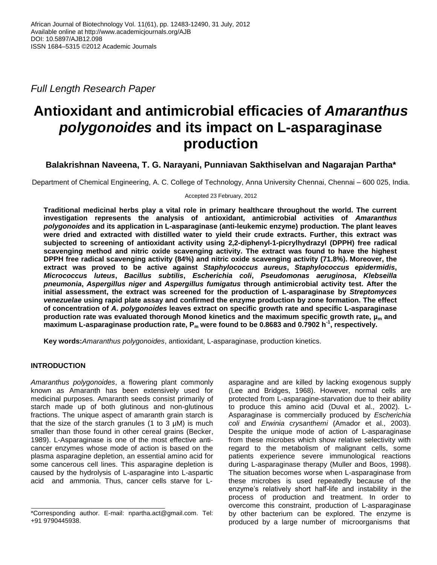*Full Length Research Paper*

# **Antioxidant and antimicrobial efficacies of** *Amaranthus polygonoides* **and its impact on L-asparaginase production**

# **Balakrishnan Naveena, T. G. Narayani, Punniavan Sakthiselvan and Nagarajan Partha\***

Department of Chemical Engineering, A. C. College of Technology, Anna University Chennai, Chennai – 600 025, India.

Accepted 23 February, 2012

**Traditional medicinal herbs play a vital role in primary healthcare throughout the world. The current investigation represents the analysis of antioxidant, antimicrobial activities of** *Amaranthus polygonoides* **and its application in L-asparaginase (anti-leukemic enzyme) production. The plant leaves were dried and extracted with distilled water to yield their crude extracts. Further, this extract was subjected to screening of antioxidant activity using 2,2-diphenyl-1-picrylhydrazyl (DPPH) free radical scavenging method and nitric oxide scavenging activity. The extract was found to have the highest DPPH free radical scavenging activity (84%) and nitric oxide scavenging activity (71.8%). Moreover, the extract was proved to be active against** *Staphylococcus aureus***,** *Staphylococcus epidermidis***,**  *Micrococcus luteus***,** *Bacillus subtilis***,** *Escherichia coli***,** *Pseudomonas aeruginosa***,** *Klebseilla pneumonia***,** *Aspergillus niger* **and** *Aspergillus fumigatus* **through antimicrobial activity test. After the initial assessment, the extract was screened for the production of L-asparaginase by** *Streptomyces venezuelae* **using rapid plate assay and confirmed the enzyme production by zone formation. The effect of concentration of** *A***.** *polygonoides* **leaves extract on specific growth rate and specific L-asparaginase production rate was evaluated thorough Monod kinetics and the maximum specific growth rate, µ<sup>m</sup> and maximum L-asparaginase production rate, P<sup>m</sup> were found to be 0.8683 and 0.7902 h-1 , respectively.**

**Key words:***Amaranthus polygonoides*, antioxidant, L-asparaginase, production kinetics.

## **INTRODUCTION**

*Amaranthus polygonoides*, a flowering plant commonly known as Amaranth has been extensively used for medicinal purposes. Amaranth seeds consist primarily of starch made up of both glutinous and non-glutinous fractions. The unique aspect of amaranth grain starch is that the size of the starch granules  $(1$  to  $3 \mu M)$  is much smaller than those found in other cereal grains (Becker, 1989). L-Asparaginase is one of the most effective anticancer enzymes whose mode of action is based on the plasma asparagine depletion, an essential amino acid for some cancerous cell lines. This asparagine depletion is caused by the hydrolysis of L-asparagine into L-aspartic acid and ammonia. Thus, cancer cells starve for L-

asparagine and are killed by lacking exogenous supply (Lee and Bridges, 1968). However, normal cells are protected from L-asparagine-starvation due to their ability to produce this amino acid (Duval et al., 2002). L-Asparaginase is commercially produced by *Escherichia coli* and *Erwinia crysanthemi* (Amador et al., 2003). Despite the unique mode of action of L-asparaginase from these microbes which show relative selectivity with regard to the metabolism of malignant cells, some patients experience severe immunological reactions during L-asparaginase therapy (Muller and Boos, 1998). The situation becomes worse when L-asparaginase from these microbes is used repeatedly because of the enzyme's relatively short half-life and instability in the process of production and treatment. In order to overcome this constraint, production of L-asparaginase by other bacterium can be explored. The enzyme is produced by a large number of microorganisms that

<sup>\*</sup>Corresponding author. E-mail: npartha.act@gmail.com. Tel: +91 9790445938.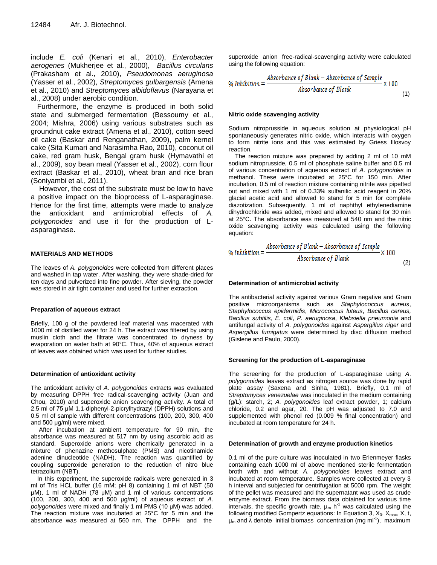include *E. coli* (Kenari et al., 2010), *Enterobacter aerogenes* (Mukherjee et al., 2000), *Bacillus circulans* (Prakasham et al., 2010), *Pseudomonas aeruginosa* (Yasser et al., 2002), *Streptomyces gulbargensis* (Amena et al., 2010) and *Streptomyces albidoflavus* (Narayana et al., 2008) under aerobic condition.

Furthermore, the enzyme is produced in both solid state and submerged fermentation (Bessoumy et al., 2004; Mishra, 2006) using various substrates such as groundnut cake extract (Amena et al., 2010), cotton seed oil cake (Baskar and Renganathan, 2009), palm kernel cake (Sita Kumari and Narasimha Rao, 2010), coconut oil cake, red gram husk, Bengal gram husk (Hymavathi et al., 2009), soy bean meal (Yasser et al., 2002), corn flour extract (Baskar et al., 2010), wheat bran and rice bran (Soniyambi et al., 2011).

However, the cost of the substrate must be low to have a positive impact on the bioprocess of L-asparaginase. Hence for the first time, attempts were made to analyze the antioxidant and antimicrobial effects of *A. polygonoides* and use it for the production of Lasparaginase.

## **MATERIALS AND METHODS**

The leaves of *A. polygonoides* were collected from different places and washed in tap water. After washing, they were shade-dried for ten days and pulverized into fine powder. After sieving, the powder was stored in air tight container and used for further extraction.

## **Preparation of aqueous extract**

Briefly, 100 g of the powdered leaf material was macerated with 1000 ml of distilled water for 24 h. The extract was filtered by using muslin cloth and the filtrate was concentrated to dryness by evaporation on water bath at 90°C. Thus, 40% of aqueous extract of leaves was obtained which was used for further studies.

## **Determination of antioxidant activity**

The antioxidant activity of *A. polygonoides* extracts was evaluated by measuring DPPH free radical-scavenging activity (Juan and Chou, 2010) and superoxide anion scavenging activity. A total of 2.5 ml of 75 μM 1,1-diphenyl-2-picrylhydrazyl (DPPH) solutions and 0.5 ml of sample with different concentrations (100, 200, 300, 400 and 500 μg/ml) were mixed.

After incubation at ambient temperature for 90 min, the absorbance was measured at 517 nm by using ascorbic acid as standard. Superoxide anions were chemically generated in a mixture of phenazine methosulphate (PMS) and nicotinamide adenine dinucleotide (NADH). The reaction was quantified by coupling superoxide generation to the reduction of nitro blue tetrazolium (NBT).

In this experiment, the superoxide radicals were generated in 3 ml of Tris HCL buffer (16 mM; pH 8) containing 1 ml of NBT (50 μM), 1 ml of NADH (78 μM) and 1 ml of various concentrations (100, 200, 300, 400 and 500 μg/ml) of aqueous extract of *A*. *polygonoides* were mixed and finally 1 ml PMS (10 μM) was added. The reaction mixture was incubated at 25°C for 5 min and the absorbance was measured at 560 nm. The DPPH and the

superoxide anion free-radical-scavenging activity were calculated using the following equation:

$$
\% Inhibition = \frac{Absorbance\ of\ Blank - Absorbance\ of\ Sample}{Absorbance\ of\ Blank} \times 100
$$
\n(1)

#### **Nitric oxide scavenging activity**

Sodium nitroprusside in aqueous solution at physiological pH spontaneously generates nitric oxide, which interacts with oxygen to form nitrite ions and this was estimated by Griess Illosvoy reaction.

The reaction mixture was prepared by adding 2 ml of 10 mM sodium nitroprusside, 0.5 ml of phosphate saline buffer and 0.5 ml of various concentration of aqueous extract of *A. polygonoides* in methanol. These were incubated at 25°C for 150 min. After incubation, 0.5 ml of reaction mixture containing nitrite was pipetted out and mixed with 1 ml of 0.33% sulfanilic acid reagent in 20% glacial acetic acid and allowed to stand for 5 min for complete diazotization. Subsequently, 1 ml of naphthyl ethylenediamine dihydrochloride was added, mixed and allowed to stand for 30 min at 25°C. The absorbance was measured at 540 nm and the nitric oxide scavenging activity was calculated using the following equation:

% Inhibition = 
$$
\frac{Absorbance \ of \ Blank - Absorbance \ of \ Sample}{Absorbance \ of \ Blank} \times 100
$$
 (2)

#### **Determination of antimicrobial activity**

The antibacterial activity against various Gram negative and Gram positive microorganisms such as *Staphylococcus aureus*, *Staphylococcus epidermidis*, *Micrococcus luteus*, *Bacillus cereus, Bacillus subtilis*, *E. coli*, *P. aeruginosa*, *Klebsiella pneumonia* and antifungal activity of *A. polygonoides* against *Aspergillus niger* and *Aspergillus fumigatus* were determined by disc diffusion method (Gislene and Paulo, 2000).

## **Screening for the production of L-asparaginase**

The screening for the production of L-asparaginase using *A*. *polygonoides* leaves extract as nitrogen source was done by rapid plate assay (Saxena and Sinha, 1981). Briefly, 0.1 ml of *Streptomyces venezuelae* was inoculated in the medium containing (g/L): starch, 2; *A. polygonoides* leaf extract powder, 1; calcium chloride, 0.2 and agar, 20. The pH was adjusted to 7.0 and supplemented with phenol red (0.009 % final concentration) and incubated at room temperature for 24 h.

## **Determination of growth and enzyme production kinetics**

0.1 ml of the pure culture was inoculated in two Erlenmeyer flasks containing each 1000 ml of above mentioned sterile fermentation broth with and without *A*. *polygonoides* leaves extract and incubated at room temperature. Samples were collected at every 3 h interval and subjected for centrifugation at 5000 rpm. The weight of the pellet was measured and the supernatant was used as crude enzyme extract. From the biomass data obtained for various time intervals, the specific growth rate,  $\mu_m$  h<sup>-1</sup> was calculated using the following modified Gompertz equations: In Equation 3,  $X_0$ ,  $X_{max}$ , X, t,  $μ<sub>m</sub>$  and λ denote initial biomass concentration (mg ml<sup>-1</sup>), maximum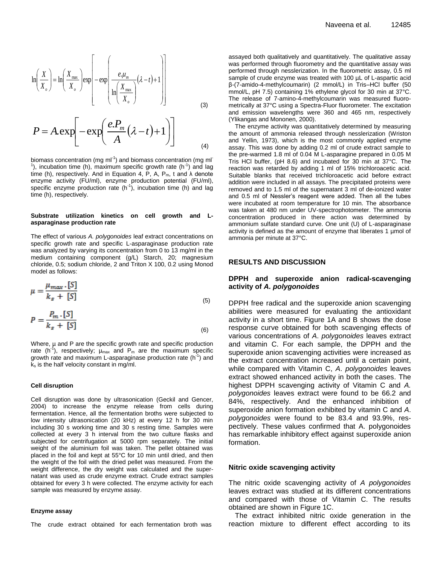$$
\ln\left(\frac{X}{X_o}\right) = \ln\left(\frac{X_{\max}}{X_o}\right) \exp\left[-\exp\left(\frac{e.\mu_m}{\ln\left(\frac{X_{\max}}{X_o}\right)}(\lambda - t) + 1\right)\right]
$$
(3)

$$
P = A.\exp\left[-\exp\left(\frac{e.P_m}{A}(\lambda - t) + 1\right)\right]
$$
 (4)

biomass concentration (mg ml<sup>-1</sup>) and biomass concentration (mg ml<sup>-</sup> <sup>1</sup>), incubation time (h), maximum specific growth rate (h<sup>-1</sup>) and lag time (h), respectively. And in Equation 4, P, A, P<sub>m</sub>, t and  $\lambda$  denote enzyme activity (FU/ml), enzyme production potential (FU/ml), specific enzyme production rate  $(h^{-1})$ , incubation time  $(h)$  and lag time (h), respectively.

#### **Substrate utilization kinetics on cell growth and Lasparaginase production rate**

The effect of various *A. polygonoides* leaf extract concentrations on specific growth rate and specific L-asparaginase production rate was analyzed by varying its concentration from 0 to 13 mg/ml in the medium containing component (g/L) Starch, 20; magnesium chloride, 0.5; sodium chloride, 2 and Triton X 100, 0.2 using Monod model as follows:

$$
\mu = \frac{\mu_{max} \cdot [S]}{k_s + [S]}
$$
\n(5)

$$
P = \frac{P_m \cdot [S]}{k_s + [S]}
$$
\n<sup>(6)</sup>

Where,  $\mu$  and P are the specific growth rate and specific production rate (h<sup>-1</sup>), respectively;  $\mu_{\text{max}}$  and P<sub>m</sub> are the maximum specific growth rate and maximum L-asparaginase production rate (h<sup>-1</sup>) and  $k<sub>s</sub>$  is the half velocity constant in mg/ml.

#### **Cell disruption**

Cell disruption was done by ultrasonication (Geckil and Gencer, 2004) to increase the enzyme release from cells during fermentation. Hence, all the fermentation broths were subjected to low intensity ultrasonication (20 kHz) at every 12 h for 30 min including 30 s working time and 30 s resting time. Samples were collected at every 3 h interval from the two culture flasks and subjected for centrifugation at 5000 rpm separately. The initial weight of the aluminium foil was taken. The pellet obtained was placed in the foil and kept at 55°C for 10 min until dried, and then the weight of the foil with the dried pellet was measured. From the weight difference, the dry weight was calculated and the supernatant was used as crude enzyme extract. Crude extract samples obtained for every 3 h were collected. The enzyme activity for each sample was measured by enzyme assay.

#### **Enzyme assay**

The crude extract obtained for each fermentation broth was

assayed both qualitatively and quantitatively. The qualitative assay was performed through fluorometry and the quantitative assay was performed through nesslerization. In the fluorometric assay, 0.5 ml sample of crude enzyme was treated with 100 µL of L-aspartic acid β-(7-amido-4-methylcoumarin) (2 mmol/L) in Tris–HCl buffer (50 mmol/L, pH 7.5) containing 1% ethylene glycol for 30 min at 37°C. The release of 7-amino-4-methylcoumarin was measured fluorometrically at 37°C using a Spectra-Fluor fluorometer. The excitation and emission wavelengths were 360 and 465 nm, respectively (Ylikangas and Mononen, 2000).

The enzyme activity was quantitatively determined by measuring the amount of ammonia released through nesslerization (Wriston and Yellin, 1973), which is the most commonly applied enzyme assay. This was done by adding 0.2 ml of crude extract sample to the pre-warmed 1.8 ml of 0.04 M L-asparagine prepared in 0.05 M Tris HCl buffer, (pH 8.6) and incubated for 30 min at 37°C. The reaction was retarded by adding 1 ml of 15% trichloroacetic acid. Suitable blanks that received trichloroacetic acid before extract addition were included in all assays. The precipitated proteins were removed and to 1.5 ml of the supernatant 3 ml of de-ionized water and 0.5 ml of Nessler's reagent were added. Then all the tubes were incubated at room temperature for 10 min. The absorbance was taken at 480 nm under UV-spectrophotometer. The ammonia concentration produced in there action was determined by ammonium sulfate standard curve. One unit (U) of L-asparaginase activity is defined as the amount of enzyme that liberates 1 µmol of ammonia per minute at 37°C.

#### **RESULTS AND DISCUSSION**

## **DPPH and superoxide anion radical-scavenging activity of** *A. polygonoides*

DPPH free radical and the superoxide anion scavenging abilities were measured for evaluating the antioxidant activity in a short time. Figure 1A and B shows the dose response curve obtained for both scavenging effects of various concentrations of *A*. *polygonoides* leaves extract and vitamin C. For each sample, the DPPH and the superoxide anion scavenging activities were increased as the extract concentration increased until a certain point, while compared with Vitamin C, *A*. *polygonoides* leaves extract showed enhanced activity in both the cases. The highest DPPH scavenging activity of Vitamin C and *A. polygonoides* leaves extract were found to be 66.2 and 84%, respectively. And the enhanced inhibition of superoxide anion formation exhibited by vitamin C and *A*. *polygonoides* were found to be 83.4 and 93.9%, respectively. These values confirmed that A. polygonoides has remarkable inhibitory effect against superoxide anion formation.

## **Nitric oxide scavenging activity**

The nitric oxide scavenging activity of *A polygonoides* leaves extract was studied at its different concentrations and compared with those of Vitamin C. The results obtained are shown in Figure 1C.

The extract inhibited nitric oxide generation in the reaction mixture to different effect according to its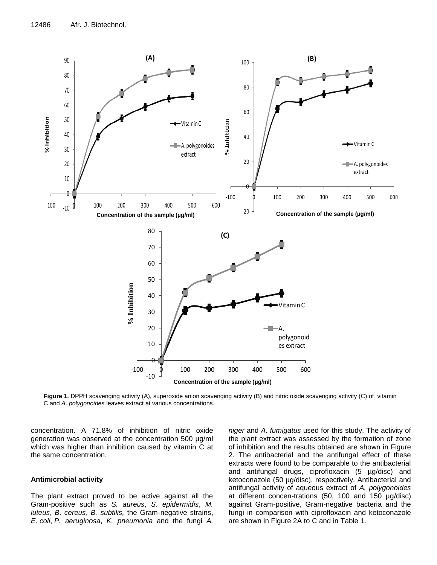

**Figure 1.** DPPH scavenging activity (A), superoxide anion scavenging activity (B) and nitric oxide scavenging activity (C) of vitamin C and *A*. *polygonoides* leaves extract at various concentrations.

concentration. A 71.8% of inhibition of nitric oxide generation was observed at the concentration 500 µg/ml which was higher than inhibition caused by vitamin C at the same concentration.

## **Antimicrobial activity**

The plant extract proved to be active against all the Gram-positive such as *S. aureus*, *S. epidermidis*, *M. luteus*, *B. cereus*, *B. subtilis,* the Gram-negative strains, *E. coli*, *P. aeruginosa*, *K. pneumonia* and the fungi *A.*

*niger* and *A. fumigatus* used for this study. The activity of the plant extract was assessed by the formation of zone of inhibition and the results obtained are shown in Figure 2. The antibacterial and the antifungal effect of these extracts were found to be comparable to the antibacterial and antifungal drugs, ciprofloxacin (5 µg/disc) and ketoconazole (50 µg/disc), respectively. Antibacterial and antifungal activity of aqueous extract of *A. polygonoides* at different concen-trations (50, 100 and 150 µg/disc) against Gram-positive, Gram-negative bacteria and the fungi in comparison with ciprofloxacin and ketoconazole are shown in Figure 2A to C and in Table 1.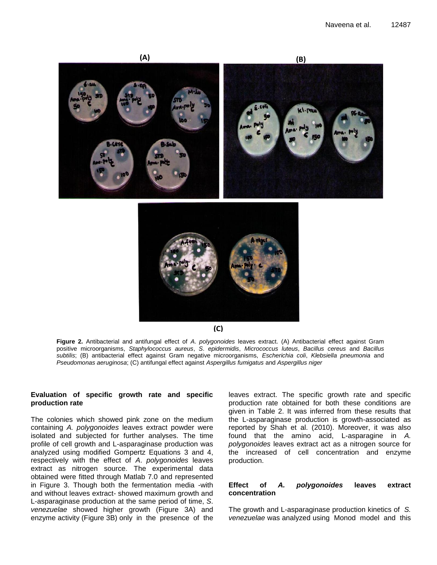



**(C)**

**Figure 2.** Antibacterial and antifungal effect of *A*. *polygonoides* leaves extract. (A) Antibacterial effect against Gram positive microorganisms, *Staphylococcus aureus*, *S*. *epidermidis*, *Micrococcus luteus*, *Bacillus cereus* and *Bacillus subtilis*; (B) antibacterial effect against Gram negative microorganisms, *Escherichia coli*, *Klebsiella pneumonia* and *Pseudomonas aeruginosa*; (C) antifungal effect against *Aspergillus fumigatus* and *Aspergillus niger*

## **Evaluation of specific growth rate and specific production rate**

The colonies which showed pink zone on the medium containing *A. polygonoides* leaves extract powder were isolated and subjected for further analyses. The time profile of cell growth and L-asparaginase production was analyzed using modified Gompertz Equations 3 and 4, respectively with the effect of *A*. *polygonoides* leaves extract as nitrogen source. The experimental data obtained were fitted through Matlab 7.0 and represented in Figure 3. Though both the fermentation media -with and without leaves extract- showed maximum growth and L-asparaginase production at the same period of time, *S*. *venezuelae* showed higher growth (Figure 3A) and enzyme activity (Figure 3B) only in the presence of the

leaves extract. The specific growth rate and specific production rate obtained for both these conditions are given in Table 2. It was inferred from these results that the L-asparaginase production is growth-associated as reported by Shah et al. (2010). Moreover, it was also found that the amino acid, L-asparagine in *A. polygonoides* leaves extract act as a nitrogen source for the increased of cell concentration and enzyme production.

## **Effect of** *A. polygonoides* **leaves extract concentration**

The growth and L-asparaginase production kinetics of *S. venezuelae* was analyzed using Monod model and this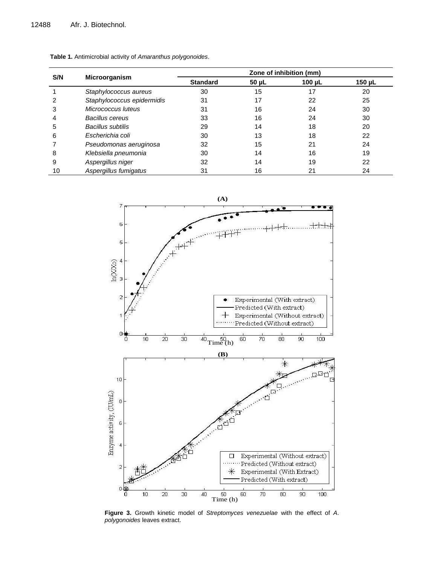| S/N | <b>Microorganism</b>       | Zone of inhibition (mm) |            |             |             |
|-----|----------------------------|-------------------------|------------|-------------|-------------|
|     |                            | <b>Standard</b>         | $50 \mu L$ | 100 $\mu$ L | 150 $\mu$ L |
|     | Staphylococcus aureus      | 30                      | 15         | 17          | 20          |
|     | Staphylococcus epidermidis | 31                      | 17         | 22          | 25          |
| 3   | Micrococcus Iuteus         | 31                      | 16         | 24          | 30          |
| 4   | Bacillus cereus            | 33                      | 16         | 24          | 30          |
| 5   | Bacillus subtilis          | 29                      | 14         | 18          | 20          |
| 6   | Escherichia coli           | 30                      | 13         | 18          | 22          |
|     | Pseudomonas aeruginosa     | 32                      | 15         | 21          | 24          |
| 8   | Klebsiella pneumonia       | 30                      | 14         | 16          | 19          |
| 9   | Aspergillus niger          | 32                      | 14         | 19          | 22          |
| 10  | Aspergillus fumigatus      | 31                      | 16         | 21          | 24          |





**Figure 3.** Growth kinetic model of *Streptomyces venezuelae* with the effect of *A*. *polygonoides* leaves extract.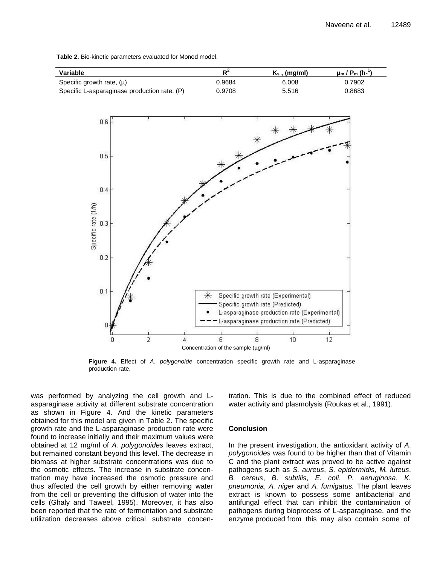| Variable                                     | D <sup>4</sup> | $K_s$ , (mg/ml) | $\mu_{\rm m}$ / P <sub>m</sub> (h-" |
|----------------------------------------------|----------------|-----------------|-------------------------------------|
| Specific growth rate, $(\mu)$                | 0.9684         | 6.008           | 0.7902                              |
| Specific L-asparaginase production rate, (P) | 0.9708         | 5.516           | 0.8683                              |

**Table 2.** Bio-kinetic parameters evaluated for Monod model.



**Figure 4.** Effect of *A*. *polygonoide* concentration specific growth rate and L-asparaginase production rate.

was performed by analyzing the cell growth and Lasparaginase activity at different substrate concentration as shown in Figure 4. And the kinetic parameters obtained for this model are given in Table 2. The specific growth rate and the L-asparaginase production rate were found to increase initially and their maximum values were obtained at 12 mg/ml of *A. polygonoides* leaves extract, but remained constant beyond this level. The decrease in biomass at higher substrate concentrations was due to the osmotic effects. The increase in substrate concentration may have increased the osmotic pressure and thus affected the cell growth by either removing water from the cell or preventing the diffusion of water into the cells (Ghaly and Taweel, 1995). Moreover, it has also been reported that the rate of fermentation and substrate utilization decreases above critical substrate concentration. This is due to the combined effect of reduced water activity and plasmolysis (Roukas et al., 1991).

## **Conclusion**

In the present investigation, the antioxidant activity of *A*. *polygonoides* was found to be higher than that of Vitamin C and the plant extract was proved to be active against pathogens such as *S. aureus*, *S. epidermidis*, *M. luteus*, *B. cereus*, *B*. *subtilis*, *E. coli*, *P. aeruginosa*, *K. pneumonia*, *A. niger* and *A. fumigatus.* The plant leaves extract is known to possess some antibacterial and antifungal effect that can inhibit the contamination of pathogens during bioprocess of L-asparaginase, and the enzyme produced from this may also contain some of